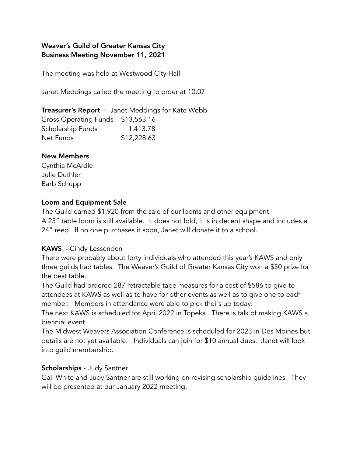# Weaver's Guild of Greater Kansas City Business Meeting November 11, 2021

The meeting was held at Westwood City Hall

Janet Meddings called the meeting to order at 10:07

**Treasurer's Report** - Janet Meddings for Kate Webb Gross Operating Funds \$13,563.16 Scholarship Funds 1,413.78 Net Funds \$12,228.63

### New Members

Cynthia McArdle Julie Duthler Barb Schupp

### Loom and Equipment Sale

The Guild earned \$1,920 from the sale of our looms and other equipment. A 25" table loom is still available. It does not fold, it is in decent shape and includes a 24" reed. If no one purchases it soon, Janet will donate it to a school.

## KAWS - Cindy Lessenden

There were probably about forty individuals who attended this year's KAWS and only three guilds had tables. The Weaver's Guild of Greater Kansas City won a \$50 prize for the best table.

The Guild had ordered 287 retractable tape measures for a cost of \$586 to give to attendees at KAWS as well as to have for other events as well as to give one to each member. Members in attendance were able to pick theirs up today.

The next KAWS is scheduled for April 2022 in Topeka. There is talk of making KAWS a biennial event.

The Midwest Weavers Association Conference is scheduled for 2023 in Des Moines but details are not yet available. Individuals can join for \$10 annual dues. Janet will look into guild membership.

### Scholarships - Judy Santner

Gail White and Judy Santner are still working on revising scholarship guidelines. They will be presented at our January 2022 meeting.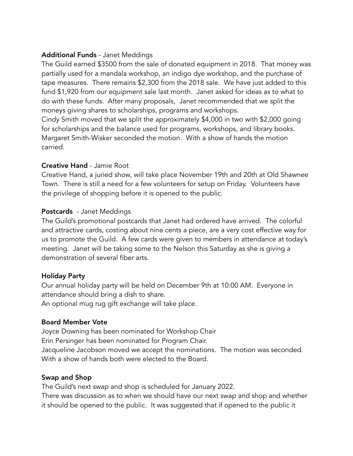## Additional Funds - Janet Meddings

The Guild earned \$3500 from the sale of donated equipment in 2018. That money was partially used for a mandala workshop, an indigo dye workshop, and the purchase of tape measures. There remains \$2,300 from the 2018 sale. We have just added to this fund \$1,920 from our equipment sale last month. Janet asked for ideas as to what to do with these funds. After many proposals, Janet recommended that we split the moneys giving shares to scholarships, programs and workshops.

Cindy Smith moved that we split the approximately \$4,000 in two with \$2,000 going for scholarships and the balance used for programs, workshops, and library books. Margaret Smith-Wisker seconded the motion. With a show of hands the motion carried.

### Creative Hand - Jamie Root

Creative Hand, a juried show, will take place November 19th and 20th at Old Shawnee Town. There is still a need for a few volunteers for setup on Friday. Volunteers have the privilege of shopping before it is opened to the public.

### Postcards - Janet Meddings

The Guild's promotional postcards that Janet had ordered have arrived. The colorful and attractive cards, costing about nine cents a piece, are a very cost effective way for us to promote the Guild. A few cards were given to members in attendance at today's meeting. Janet will be taking some to the Nelson this Saturday as she is giving a demonstration of several fiber arts.

### Holiday Party

Our annual holiday party will be held on December 9th at 10:00 AM. Everyone in attendance should bring a dish to share.

An optional mug rug gift exchange will take place.

## Board Member Vote

Joyce Downing has been nominated for Workshop Chair Erin Persinger has been nominated for Program Chair. Jacqueline Jacobson moved we accept the nominations. The motion was seconded. With a show of hands both were elected to the Board.

### Swap and Shop

The Guild's next swap and shop is scheduled for January 2022.

There was discussion as to when we should have our next swap and shop and whether it should be opened to the public. It was suggested that if opened to the public it